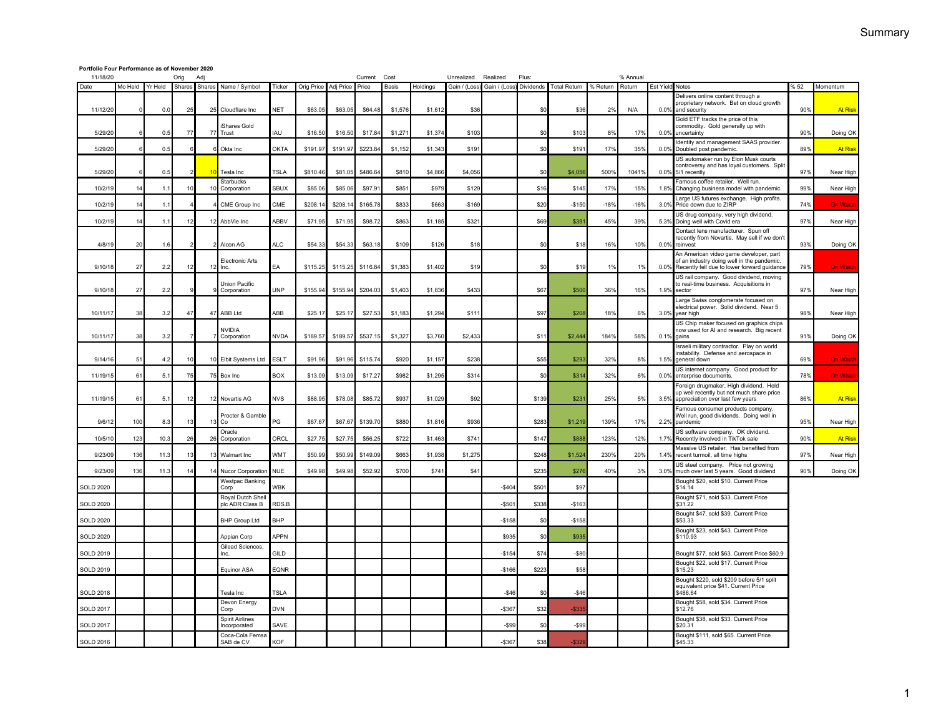## **Portfolio Four Performance as of November 2020**

| 11/18/20         | Plus:<br>Orig<br>Current<br>Cost<br>% Annual<br>Adj<br>Unrealized<br>Realized |         |                |                 |                                        |                 |            |           |          |         |          |               |               |           |                     |          |        |               |                                                                                                                                     |     |                 |
|------------------|-------------------------------------------------------------------------------|---------|----------------|-----------------|----------------------------------------|-----------------|------------|-----------|----------|---------|----------|---------------|---------------|-----------|---------------------|----------|--------|---------------|-------------------------------------------------------------------------------------------------------------------------------------|-----|-----------------|
| Date             | Mo Held                                                                       | Yr Held | Shares         |                 | Shares Name / Symbol                   | Ticker          | Orig Price | Adj Price | Price    | Basis   | Holdings | Gain / (Loss) | Gain / (Loss) | Dividends | <b>Total Return</b> | % Return | Return |               | Est Yield Notes<br>% 52                                                                                                             |     | Momentum        |
| 11/12/20         |                                                                               | 0.0     | 25             | 25              | Cloudflare Inc.                        | <b>NET</b>      | \$63.05    | \$63.05   | \$64.48  | \$1,576 | \$1,61   | \$36          |               | \$C       | \$36                | 2%       | N/A    | 0.0%          | Delivers online content through a<br>proprietary network. Bet on cloud growth<br>and security                                       | 90% | <b>At Risk</b>  |
| 5/29/20          |                                                                               | 0.5     | 77             |                 | Shares Gold<br>77 Trust                | <b>IAU</b>      | \$16.50    | \$16.50   | \$17.84  | \$1,271 | \$1,374  | \$103         |               | \$0       | \$103               | 8%       | 17%    | 0.09          | Gold ETF tracks the price of this<br>commodity. Gold generally up with<br>uncertainty                                               |     | Doing OK        |
| 5/29/2           |                                                                               | 0.5     |                |                 | Okta Inc                               | <b>OKTA</b>     | \$191.97   | \$191.97  | \$223.84 | \$1,152 | \$1,343  | \$191         |               | \$0       | \$191               | 17%      | 35%    | 0.0%          | Identity and management SAAS provider.                                                                                              |     | <b>At Risk</b>  |
|                  |                                                                               |         |                |                 |                                        |                 |            |           |          |         |          |               |               |           |                     |          |        |               | Doubled post pandemic.<br>US automaker run by Elon Musk courts                                                                      | 89% |                 |
| 5/29/2           |                                                                               | 0.5     |                | 10              | Tesla Inc                              | TSLA            | \$810.46   | \$81.05   | \$486.64 | \$810   | \$4,866  | \$4,056       |               | \$0       | \$4,056             | 500%     | 10419  | 0.09          | controversy and has loyal customers. Split<br>5/1 recently                                                                          | 97% | Near High       |
| 10/2/19          |                                                                               | 1.1     | 10             | 10 <sub>1</sub> | Starbucks<br>Corporation               | SBIJX           | \$85.0     | \$85.06   | \$97.91  | \$851   | \$979    | \$129         |               | \$16      | \$145               | 17%      | 15%    | 1.8%          | Famous coffee retailer. Well run.<br>Changing business model with pandemic<br>Large US futures exchange. High profits.              | 99% | Near High       |
| 10/2/1           |                                                                               | 1.1     |                |                 | CME Group Inc                          | CME             | \$208.1    | \$208.1   | \$165.78 | \$833   | \$663    | $-$169$       |               | \$20      | $-$150$             | $-18%$   | $-169$ | 3.0%          | Price down due to ZIRP                                                                                                              | 74% | On Watc         |
| 10/2/19          |                                                                               | 1.1     | -12            |                 | 12 AbbVie Inc                          | ABBV            | \$71.9     | \$71.95   | \$98.72  | \$863   | \$1,185  | \$321         |               | \$69      | \$391               | 45%      | 39%    | 5.3%          | US drug company, very high dividend.<br>Doing well with Covid era                                                                   | 97% | Near High       |
| 4/8/19           | 20                                                                            | 1.6     |                |                 | Alcon AG                               | ALC <sub></sub> | \$54.33    | \$54.3    | \$63.18  | \$109   | \$126    | \$18          |               | \$0       | \$18                | 16%      | 10%    | 0.0%          | Contact lens manufacturer. Spun off<br>recently from Novartis. May sell if we don't<br>reinvest                                     | 93% | Doing OK        |
| 9/10/18          | 27                                                                            | 2.2     | 12             |                 | <b>Electronic Arts</b><br>$12$ llnc.   | EA              | \$115.25   | \$115.25  | \$116.84 | \$1,383 | \$1,402  | \$19          |               | \$0       | \$19                | 1%       | 1%     | 0.0%          | An American video game developer, part<br>of an industry doing well in the pandemic.<br>Recently fell due to lower forward guidance | 79% | <b>On Watch</b> |
|                  |                                                                               |         |                |                 | Union Pacific                          |                 |            |           |          |         |          |               |               |           |                     |          |        |               | US rail company. Good dividend, moving                                                                                              |     |                 |
| 9/10/18          | 27                                                                            | 22      |                |                 | Corporation                            | <b>UNP</b>      | \$155.94   | \$155.94  | \$204.03 | \$1,403 | \$1,836  | \$433         |               | \$67      | \$500               | 36%      | 16%    | 1.99          | to real-time business. Acquisitions in<br>sector                                                                                    | 97% | Near High       |
| 10/11/17         | 38                                                                            | 3.2     | 47             |                 | 47 ABB Ltd                             | ABB             | \$25.1     | \$25.17   | \$27.53  | \$1,183 | \$1,294  | \$111         |               | \$97      | \$208               | 18%      | 6%     | 3.0%          | Large Swiss conglomerate focused on<br>electrical power. Solid dividend. Near 5<br>year high                                        | 98% | Near High       |
| 10/11/17         | 38                                                                            | 3.2     |                |                 | <b>NVIDIA</b><br>Corporation           | <b>NVDA</b>     | \$189.57   | \$189.57  | \$537.15 | \$1,327 | \$3.760  | \$2,433       |               | \$11      | \$2,444             | 184%     | 58%    | 0.1%          | US Chip maker focused on graphics chips<br>now used for AI and research. Big recent<br>gains                                        | 91% | Doing OK        |
| 9/14/1           | 51                                                                            | 4.2     | 10             |                 | 10 Elbit Systems Ltd                   | <b>ESLT</b>     | \$91.96    | \$91.96   | \$115.74 | \$920   | \$1,157  | \$238         |               | \$55      | \$293               | 32%      | 8%     | 1.5%          | Israeli military contractor. Play on world<br>instability. Defense and aerospace in<br>general down                                 | 69% | <b>On Watch</b> |
| 11/19/1          | 61                                                                            | 5.1     | 75             |                 | 75 Box Inc                             | <b>BOX</b>      | \$13.09    | \$13.09   | \$17.27  | \$982   | \$1,295  | \$314         |               | \$0       | \$314               | 32%      | 6%     | 0.0%          | US internet company. Good product for<br>enterprise documents.                                                                      | 78% | On Watc         |
|                  |                                                                               |         |                |                 |                                        |                 |            |           |          |         |          |               |               |           |                     |          |        |               | Foreign drugmaker, High dividend. Held<br>up well recently but not much share price                                                 |     |                 |
| 11/19/1          | 61                                                                            | 5.1     | 12             |                 | 12 Novartis AG                         | <b>NVS</b>      | \$88.95    | \$78.08   | \$85.72  | \$937   | \$1,029  | \$92          |               | \$139     | \$231               | 25%      | 5%     | $3.5^{\circ}$ | appreciation over last few years<br>Famous consumer products company.                                                               | 86% | <b>At Risk</b>  |
| 9/6/1            | 100                                                                           | 8.3     | 13             |                 | Procter & Gamble<br>$13$ Co            | PG              | \$67.67    | \$67.67   | \$139.70 | \$880   | \$1,816  | \$936         |               | \$283     | \$1,219             | 139%     | 17%    | $2.2^{\circ}$ | Well run, good dividends. Doing well in<br>pandemic                                                                                 | 95% | Near High       |
| 10/5/1           | 123                                                                           | 10.3    | 26             | 26              | Oracle<br>Corporation                  | ORCL            | \$27.75    | \$27.75   | \$56.25  | \$722   | \$1,463  | \$741         |               | \$147     | \$888               | 123%     | 12%    | 1.7%          | US software company. OK dividend.<br>Recently involved in TikTok sale                                                               | 90% | <b>At Risk</b>  |
| 9/23/09          | 136                                                                           | 11.3    | 13             |                 | 13 Walmart Inc                         | <b>WMT</b>      | \$50.99    | \$50.99   | \$149.09 | \$663   | \$1,938  | \$1,275       |               | \$248     | \$1,524             | 230%     | 20%    | 1.4%          | Massive US retailer. Has benefited from<br>recent turmoil, all time highs                                                           | 97% | Near High       |
| 9/23/09          | 136                                                                           | 11.3    | 1 <sub>6</sub> |                 | 14 Nucor Corporation                   | <b>NUE</b>      | \$49.98    | \$49.98   | \$52.92  | \$700   | \$741    | \$41          |               | \$235     | \$276               | 40%      | 3%     | 3.0%          | US steel company. Price not growing<br>much over last 5 years. Good dividend                                                        | 90% | Doing OK        |
| <b>SOLD 2020</b> |                                                                               |         |                |                 | <b>Westpac Banking</b><br>Corp         | WBK             |            |           |          |         |          |               | $-$404$       | \$50      | \$97                |          |        |               | Bought \$20, sold \$10. Current Price<br>\$14.14                                                                                    |     |                 |
| <b>SOLD 2020</b> |                                                                               |         |                |                 | Royal Dutch Shell<br>plc ADR Class B   | RDS.B           |            |           |          |         |          |               | $-$50'$       | \$338     | $-$163$             |          |        |               | Bought \$71, sold \$33. Current Price<br>\$31.22                                                                                    |     |                 |
| <b>SOLD 2020</b> |                                                                               |         |                |                 | <b>BHP Group Ltd</b>                   | BHP             |            |           |          |         |          |               | $-$158$       | \$0       | $-$158$             |          |        |               | Bought \$47, sold \$39. Current Price<br>\$53.33                                                                                    |     |                 |
| <b>SOLD 2020</b> |                                                                               |         |                |                 | Appian Corp                            | <b>APPN</b>     |            |           |          |         |          |               | \$935         | \$0       | \$935               |          |        |               | Bought \$23, sold \$43. Current Price<br>\$110.93                                                                                   |     |                 |
| <b>SOLD 2019</b> |                                                                               |         |                |                 | Gilead Sciences,<br>Inc.               | GILD            |            |           |          |         |          |               | $-$154$       | \$74      | $-$80$              |          |        |               | Bought \$77, sold \$63. Current Price \$60.9                                                                                        |     |                 |
| <b>SOLD 2019</b> |                                                                               |         |                |                 | Equinor ASA                            | EQNR            |            |           |          |         |          |               | $-$166$       | \$223     | \$58                |          |        |               | Bought \$22, sold \$17. Current Price<br>\$15.23                                                                                    |     |                 |
| <b>SOLD 2018</b> |                                                                               |         |                |                 | Tesla Inc                              | <b>TSLA</b>     |            |           |          |         |          |               | $-$46$        | \$0       | $-$46$              |          |        |               | Bought \$220, sold \$209 before 5/1 split<br>equivalent price \$41. Current Price<br>\$486.64                                       |     |                 |
| <b>SOLD 2017</b> |                                                                               |         |                |                 | Devon Energy<br>Corp                   | <b>DVN</b>      |            |           |          |         |          |               | $-$ \$367     | \$32      | $-$33$              |          |        |               | Bought \$58, sold \$34. Current Price<br>\$12.76                                                                                    |     |                 |
| <b>SOLD 2017</b> |                                                                               |         |                |                 | <b>Spirit Airlines</b><br>Incorporated | SAVE            |            |           |          |         |          |               | $-$ \$99      | \$0       | $-$ \$99            |          |        |               | Bought \$38, sold \$33. Current Price<br>\$20.31                                                                                    |     |                 |
| <b>SOLD 2016</b> |                                                                               |         |                |                 | Coca-Cola Femsa<br>SAB de CV           | <b>KOF</b>      |            |           |          |         |          |               | $-$367$       | \$38      | $-$ \$329           |          |        |               | Bought \$111, sold \$65. Current Price<br>\$45.33                                                                                   |     |                 |